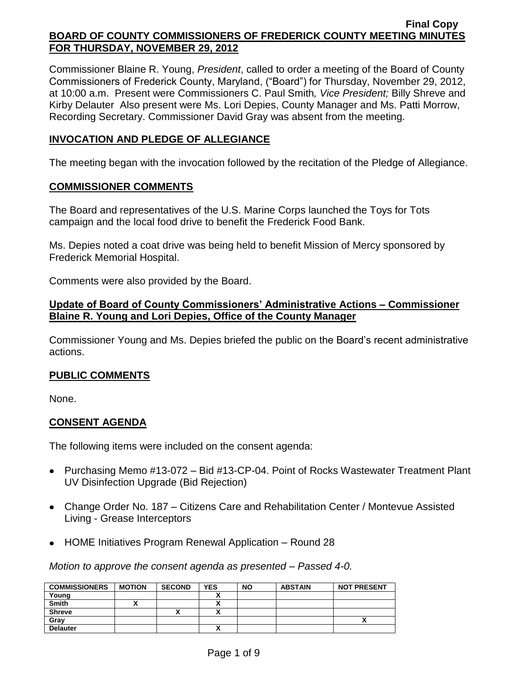Commissioner Blaine R. Young, *President*, called to order a meeting of the Board of County Commissioners of Frederick County, Maryland, ("Board") for Thursday, November 29, 2012, at 10:00 a.m. Present were Commissioners C. Paul Smith*, Vice President;* Billy Shreve and Kirby Delauter Also present were Ms. Lori Depies, County Manager and Ms. Patti Morrow, Recording Secretary. Commissioner David Gray was absent from the meeting.

## **INVOCATION AND PLEDGE OF ALLEGIANCE**

The meeting began with the invocation followed by the recitation of the Pledge of Allegiance.

## **COMMISSIONER COMMENTS**

The Board and representatives of the U.S. Marine Corps launched the Toys for Tots campaign and the local food drive to benefit the Frederick Food Bank.

Ms. Depies noted a coat drive was being held to benefit Mission of Mercy sponsored by Frederick Memorial Hospital.

Comments were also provided by the Board.

### **Update of Board of County Commissioners' Administrative Actions – Commissioner Blaine R. Young and Lori Depies, Office of the County Manager**

Commissioner Young and Ms. Depies briefed the public on the Board's recent administrative actions.

## **PUBLIC COMMENTS**

None.

# **CONSENT AGENDA**

The following items were included on the consent agenda:

- Purchasing Memo #13-072 Bid #13-CP-04. Point of Rocks Wastewater Treatment Plant UV Disinfection Upgrade (Bid Rejection)
- Change Order No. 187 Citizens Care and Rehabilitation Center / Montevue Assisted Living - Grease Interceptors
- HOME Initiatives Program Renewal Application Round 28

*Motion to approve the consent agenda as presented – Passed 4-0.*

| <b>COMMISSIONERS</b> | <b>MOTION</b> | <b>SECOND</b> | <b>YES</b> | <b>NO</b> | <b>ABSTAIN</b> | <b>NOT PRESENT</b> |
|----------------------|---------------|---------------|------------|-----------|----------------|--------------------|
| Young                |               |               |            |           |                |                    |
| <b>Smith</b>         |               |               |            |           |                |                    |
| <b>Shreve</b>        |               | "             |            |           |                |                    |
| Grav                 |               |               |            |           |                |                    |
| <b>Delauter</b>      |               |               |            |           |                |                    |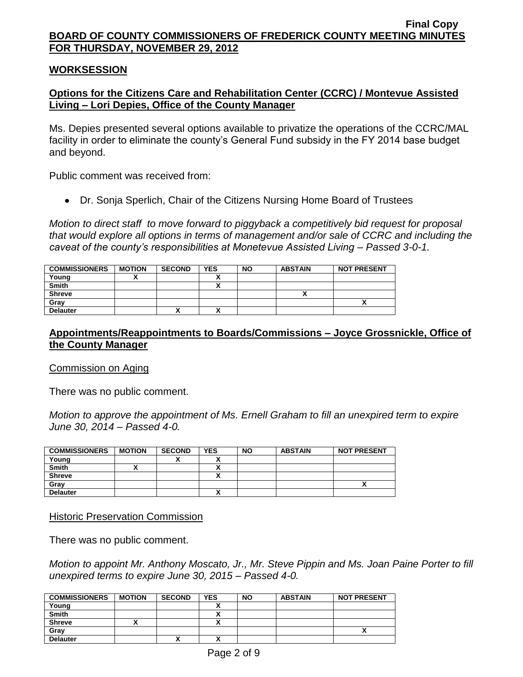### **WORKSESSION**

# **Options for the Citizens Care and Rehabilitation Center (CCRC) / Montevue Assisted Living – Lori Depies, Office of the County Manager**

Ms. Depies presented several options available to privatize the operations of the CCRC/MAL facility in order to eliminate the county's General Fund subsidy in the FY 2014 base budget and beyond.

Public comment was received from:

Dr. Sonja Sperlich, Chair of the Citizens Nursing Home Board of Trustees

*Motion to direct staff to move forward to piggyback a competitively bid request for proposal that would explore all options in terms of management and/or sale of CCRC and including the caveat of the county's responsibilities at Monetevue Assisted Living – Passed 3-0-1.*

| <b>COMMISSIONERS</b> | <b>MOTION</b> | <b>SECOND</b> | <b>YES</b>               | <b>NO</b> | <b>ABSTAIN</b> | <b>NOT PRESENT</b> |
|----------------------|---------------|---------------|--------------------------|-----------|----------------|--------------------|
| Young                |               |               |                          |           |                |                    |
| <b>Smith</b>         |               |               |                          |           |                |                    |
| <b>Shreve</b>        |               |               |                          |           |                |                    |
| Gray                 |               |               |                          |           |                | n                  |
| <b>Delauter</b>      |               | "             | $\overline{\phantom{a}}$ |           |                |                    |

## **Appointments/Reappointments to Boards/Commissions – Joyce Grossnickle, Office of the County Manager**

#### Commission on Aging

There was no public comment.

*Motion to approve the appointment of Ms. Ernell Graham to fill an unexpired term to expire June 30, 2014 – Passed 4-0.*

| <b>COMMISSIONERS</b> | <b>MOTION</b> | <b>SECOND</b> | <b>YES</b> | <b>NO</b> | <b>ABSTAIN</b> | <b>NOT PRESENT</b> |
|----------------------|---------------|---------------|------------|-----------|----------------|--------------------|
| Young                |               |               |            |           |                |                    |
| <b>Smith</b>         |               |               |            |           |                |                    |
| <b>Shreve</b>        |               |               |            |           |                |                    |
| Grav                 |               |               |            |           |                |                    |
| <b>Delauter</b>      |               |               |            |           |                |                    |

#### Historic Preservation Commission

There was no public comment.

*Motion to appoint Mr. Anthony Moscato, Jr., Mr. Steve Pippin and Ms. Joan Paine Porter to fill unexpired terms to expire June 30, 2015 – Passed 4-0.*

| <b>COMMISSIONERS</b> | <b>MOTION</b> | <b>SECOND</b> | <b>YES</b> | <b>NO</b> | <b>ABSTAIN</b> | <b>NOT PRESENT</b> |
|----------------------|---------------|---------------|------------|-----------|----------------|--------------------|
| Young                |               |               |            |           |                |                    |
| <b>Smith</b>         |               |               |            |           |                |                    |
| <b>Shreve</b>        |               |               |            |           |                |                    |
| Gray                 |               |               |            |           |                |                    |
| <b>Delauter</b>      |               |               |            |           |                |                    |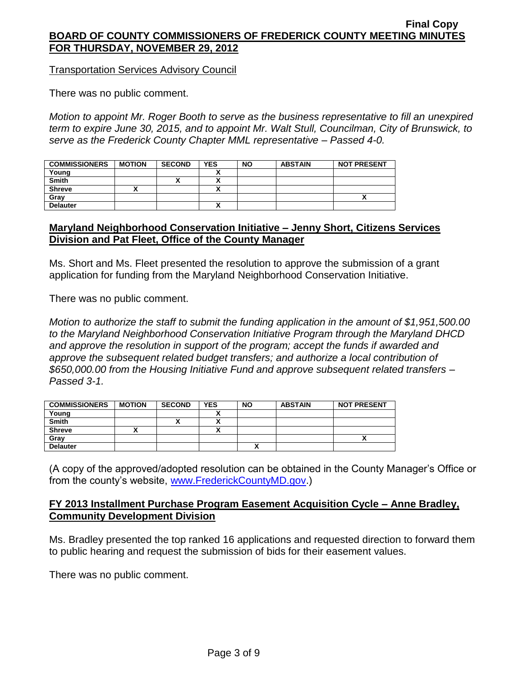Transportation Services Advisory Council

There was no public comment.

*Motion to appoint Mr. Roger Booth to serve as the business representative to fill an unexpired term to expire June 30, 2015, and to appoint Mr. Walt Stull, Councilman, City of Brunswick, to serve as the Frederick County Chapter MML representative – Passed 4-0.*

| <b>COMMISSIONERS</b> | <b>MOTION</b> | <b>SECOND</b> | <b>YES</b> | <b>NO</b> | <b>ABSTAIN</b> | <b>NOT PRESENT</b> |
|----------------------|---------------|---------------|------------|-----------|----------------|--------------------|
| Young                |               |               |            |           |                |                    |
| <b>Smith</b>         |               |               |            |           |                |                    |
| <b>Shreve</b>        |               |               |            |           |                |                    |
| Grav                 |               |               |            |           |                |                    |
| <b>Delauter</b>      |               |               |            |           |                |                    |

## **Maryland Neighborhood Conservation Initiative – Jenny Short, Citizens Services Division and Pat Fleet, Office of the County Manager**

Ms. Short and Ms. Fleet presented the resolution to approve the submission of a grant application for funding from the Maryland Neighborhood Conservation Initiative.

There was no public comment.

*Motion to authorize the staff to submit the funding application in the amount of \$1,951,500.00 to the Maryland Neighborhood Conservation Initiative Program through the Maryland DHCD and approve the resolution in support of the program; accept the funds if awarded and approve the subsequent related budget transfers; and authorize a local contribution of \$650,000.00 from the Housing Initiative Fund and approve subsequent related transfers – Passed 3-1.*

| <b>COMMISSIONERS</b> | <b>MOTION</b> | <b>SECOND</b> | <b>YES</b> | <b>NO</b> | <b>ABSTAIN</b> | <b>NOT PRESENT</b> |
|----------------------|---------------|---------------|------------|-----------|----------------|--------------------|
| Young                |               |               |            |           |                |                    |
| <b>Smith</b>         |               | ^             |            |           |                |                    |
| <b>Shreve</b>        |               |               |            |           |                |                    |
| Grav                 |               |               |            |           |                | Λ                  |
| <b>Delauter</b>      |               |               |            |           |                |                    |

(A copy of the approved/adopted resolution can be obtained in the County Manager's Office or from the county's website, [www.FrederickCountyMD.gov.](http://www.frederickcountymd.gov/))

## **FY 2013 Installment Purchase Program Easement Acquisition Cycle – Anne Bradley, Community Development Division**

Ms. Bradley presented the top ranked 16 applications and requested direction to forward them to public hearing and request the submission of bids for their easement values.

There was no public comment.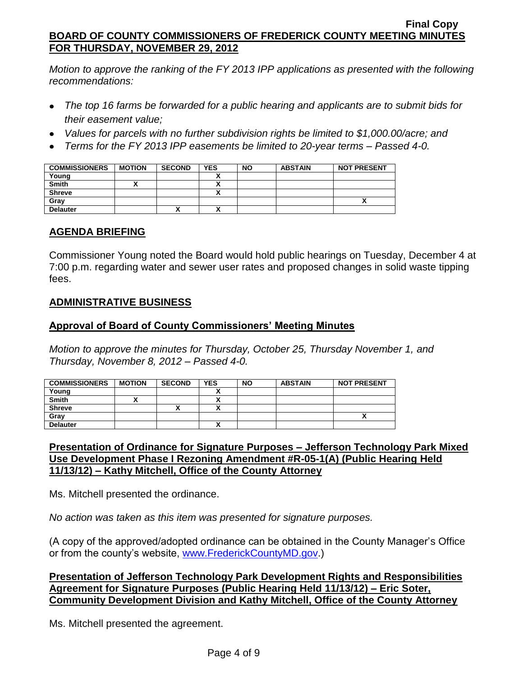*Motion to approve the ranking of the FY 2013 IPP applications as presented with the following recommendations:*

- *The top 16 farms be forwarded for a public hearing and applicants are to submit bids for their easement value;*
- *Values for parcels with no further subdivision rights be limited to \$1,000.00/acre; and*
- *Terms for the FY 2013 IPP easements be limited to 20-year terms – Passed 4-0.*

| <b>COMMISSIONERS</b> | <b>MOTION</b> | <b>SECOND</b> | <b>YES</b> | <b>NO</b> | <b>ABSTAIN</b> | <b>NOT PRESENT</b> |
|----------------------|---------------|---------------|------------|-----------|----------------|--------------------|
| Young                |               |               |            |           |                |                    |
| <b>Smith</b>         |               |               |            |           |                |                    |
| <b>Shreve</b>        |               |               | n          |           |                |                    |
| Grav                 |               |               |            |           |                |                    |
| <b>Delauter</b>      |               | '             |            |           |                |                    |

# **AGENDA BRIEFING**

Commissioner Young noted the Board would hold public hearings on Tuesday, December 4 at 7:00 p.m. regarding water and sewer user rates and proposed changes in solid waste tipping fees.

# **ADMINISTRATIVE BUSINESS**

# **Approval of Board of County Commissioners' Meeting Minutes**

*Motion to approve the minutes for Thursday, October 25, Thursday November 1, and Thursday, November 8, 2012 – Passed 4-0.*

| <b>COMMISSIONERS</b> | <b>MOTION</b> | <b>SECOND</b> | <b>YES</b> | <b>NO</b> | <b>ABSTAIN</b> | <b>NOT PRESENT</b> |
|----------------------|---------------|---------------|------------|-----------|----------------|--------------------|
| Young                |               |               |            |           |                |                    |
| <b>Smith</b>         |               |               |            |           |                |                    |
| <b>Shreve</b>        |               | ́             | ~          |           |                |                    |
| Gray                 |               |               |            |           |                | ,,                 |
| <b>Delauter</b>      |               |               | ~          |           |                |                    |

# **Presentation of Ordinance for Signature Purposes – Jefferson Technology Park Mixed Use Development Phase I Rezoning Amendment #R-05-1(A) (Public Hearing Held 11/13/12) – Kathy Mitchell, Office of the County Attorney**

Ms. Mitchell presented the ordinance.

*No action was taken as this item was presented for signature purposes.*

(A copy of the approved/adopted ordinance can be obtained in the County Manager's Office or from the county's website, [www.FrederickCountyMD.gov.](http://www.frederickcountymd.gov/))

**Presentation of Jefferson Technology Park Development Rights and Responsibilities Agreement for Signature Purposes (Public Hearing Held 11/13/12) – Eric Soter, Community Development Division and Kathy Mitchell, Office of the County Attorney**

Ms. Mitchell presented the agreement.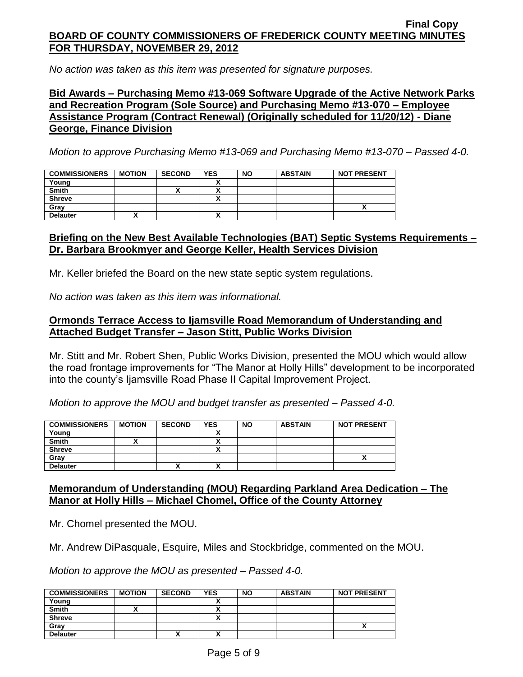*No action was taken as this item was presented for signature purposes.*

## **Bid Awards – Purchasing Memo #13-069 Software Upgrade of the Active Network Parks and Recreation Program (Sole Source) and Purchasing Memo #13-070 – Employee Assistance Program (Contract Renewal) (Originally scheduled for 11/20/12) - Diane George, Finance Division**

*Motion to approve Purchasing Memo #13-069 and Purchasing Memo #13-070 – Passed 4-0.*

| <b>COMMISSIONERS</b> | <b>MOTION</b> | <b>SECOND</b> | <b>YES</b>   | <b>NO</b> | <b>ABSTAIN</b> | <b>NOT PRESENT</b> |
|----------------------|---------------|---------------|--------------|-----------|----------------|--------------------|
| Young                |               |               |              |           |                |                    |
| <b>Smith</b>         |               |               |              |           |                |                    |
| <b>Shreve</b>        |               |               |              |           |                |                    |
| Grav                 |               |               |              |           |                |                    |
| <b>Delauter</b>      |               |               | $\mathbf{v}$ |           |                |                    |

## **Briefing on the New Best Available Technologies (BAT) Septic Systems Requirements – Dr. Barbara Brookmyer and George Keller, Health Services Division**

Mr. Keller briefed the Board on the new state septic system regulations.

*No action was taken as this item was informational.*

## **Ormonds Terrace Access to Ijamsville Road Memorandum of Understanding and Attached Budget Transfer – Jason Stitt, Public Works Division**

Mr. Stitt and Mr. Robert Shen, Public Works Division, presented the MOU which would allow the road frontage improvements for "The Manor at Holly Hills" development to be incorporated into the county's Ijamsville Road Phase II Capital Improvement Project.

*Motion to approve the MOU and budget transfer as presented – Passed 4-0.*

| <b>COMMISSIONERS</b> | <b>MOTION</b> | <b>SECOND</b> | <b>YES</b> | <b>NO</b> | <b>ABSTAIN</b> | <b>NOT PRESENT</b> |
|----------------------|---------------|---------------|------------|-----------|----------------|--------------------|
| Young                |               |               |            |           |                |                    |
| <b>Smith</b>         |               |               |            |           |                |                    |
| <b>Shreve</b>        |               |               |            |           |                |                    |
| Gray                 |               |               |            |           |                |                    |
| <b>Delauter</b>      |               | "             |            |           |                |                    |

# **Memorandum of Understanding (MOU) Regarding Parkland Area Dedication – The Manor at Holly Hills – Michael Chomel, Office of the County Attorney**

Mr. Chomel presented the MOU.

Mr. Andrew DiPasquale, Esquire, Miles and Stockbridge, commented on the MOU.

*Motion to approve the MOU as presented – Passed 4-0.*

| <b>COMMISSIONERS</b> | <b>MOTION</b> | <b>SECOND</b> | <b>YES</b> | <b>NO</b> | <b>ABSTAIN</b> | <b>NOT PRESENT</b> |
|----------------------|---------------|---------------|------------|-----------|----------------|--------------------|
| Young                |               |               |            |           |                |                    |
| <b>Smith</b>         |               |               |            |           |                |                    |
| <b>Shreve</b>        |               |               |            |           |                |                    |
| Gray                 |               |               |            |           |                |                    |
| <b>Delauter</b>      |               | ↗             |            |           |                |                    |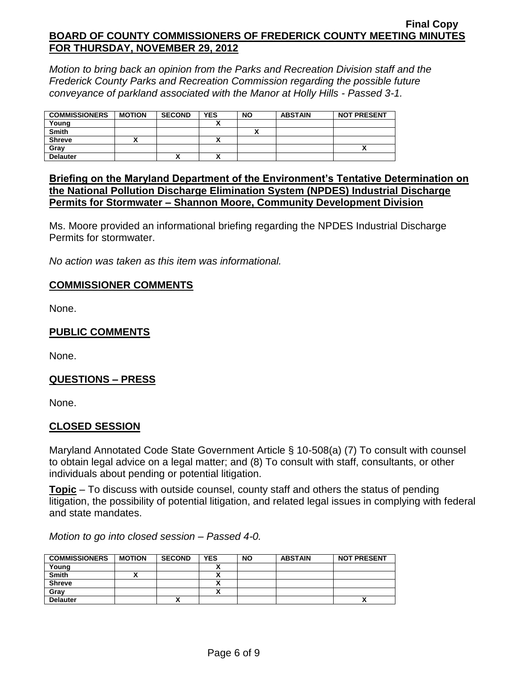*Motion to bring back an opinion from the Parks and Recreation Division staff and the Frederick County Parks and Recreation Commission regarding the possible future conveyance of parkland associated with the Manor at Holly Hills - Passed 3-1.*

| <b>COMMISSIONERS</b> | <b>MOTION</b> | <b>SECOND</b> | <b>YES</b> | <b>NO</b> | <b>ABSTAIN</b> | <b>NOT PRESENT</b> |
|----------------------|---------------|---------------|------------|-----------|----------------|--------------------|
| Young                |               |               |            |           |                |                    |
| <b>Smith</b>         |               |               |            |           |                |                    |
| <b>Shreve</b>        |               |               |            |           |                |                    |
| Grav                 |               |               |            |           |                |                    |
| <b>Delauter</b>      |               | '             | n          |           |                |                    |

## **Briefing on the Maryland Department of the Environment's Tentative Determination on the National Pollution Discharge Elimination System (NPDES) Industrial Discharge Permits for Stormwater – Shannon Moore, Community Development Division**

Ms. Moore provided an informational briefing regarding the NPDES Industrial Discharge Permits for stormwater.

*No action was taken as this item was informational.*

# **COMMISSIONER COMMENTS**

None.

# **PUBLIC COMMENTS**

None.

## **QUESTIONS – PRESS**

None.

## **CLOSED SESSION**

Maryland Annotated Code State Government Article § 10-508(a) (7) To consult with counsel to obtain legal advice on a legal matter; and (8) To consult with staff, consultants, or other individuals about pending or potential litigation.

**Topic** – To discuss with outside counsel, county staff and others the status of pending litigation, the possibility of potential litigation, and related legal issues in complying with federal and state mandates.

*Motion to go into closed session – Passed 4-0.*

| <b>COMMISSIONERS</b> | <b>MOTION</b> | <b>SECOND</b> | <b>YES</b> | <b>NO</b> | <b>ABSTAIN</b> | <b>NOT PRESENT</b> |
|----------------------|---------------|---------------|------------|-----------|----------------|--------------------|
| Young                |               |               |            |           |                |                    |
| <b>Smith</b>         |               |               |            |           |                |                    |
| <b>Shreve</b>        |               |               |            |           |                |                    |
| Grav                 |               |               |            |           |                |                    |
| <b>Delauter</b>      |               | Λ             |            |           |                |                    |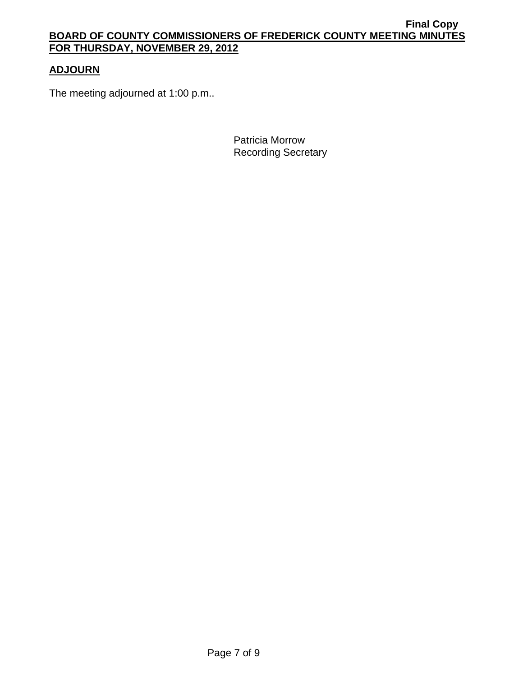# **ADJOURN**

The meeting adjourned at 1:00 p.m..

Patricia Morrow Recording Secretary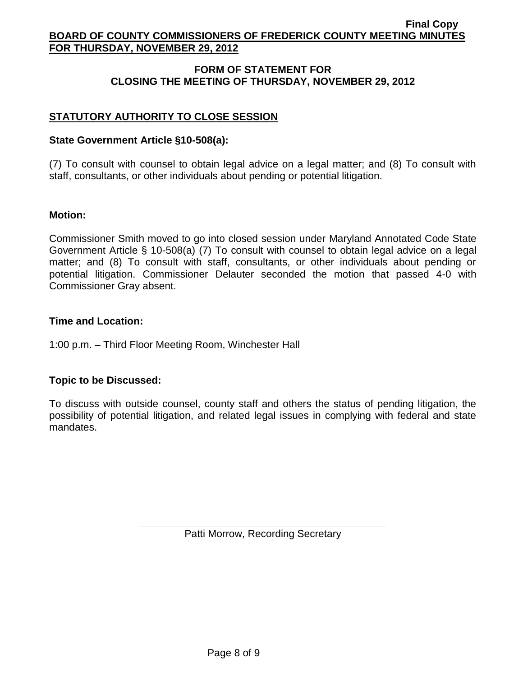# **FORM OF STATEMENT FOR CLOSING THE MEETING OF THURSDAY, NOVEMBER 29, 2012**

# **STATUTORY AUTHORITY TO CLOSE SESSION**

### **State Government Article §10-508(a):**

(7) To consult with counsel to obtain legal advice on a legal matter; and (8) To consult with staff, consultants, or other individuals about pending or potential litigation.

#### **Motion:**

Commissioner Smith moved to go into closed session under Maryland Annotated Code State Government Article § 10-508(a) (7) To consult with counsel to obtain legal advice on a legal matter; and (8) To consult with staff, consultants, or other individuals about pending or potential litigation. Commissioner Delauter seconded the motion that passed 4-0 with Commissioner Gray absent.

#### **Time and Location:**

1:00 p.m. – Third Floor Meeting Room, Winchester Hall

## **Topic to be Discussed:**

To discuss with outside counsel, county staff and others the status of pending litigation, the possibility of potential litigation, and related legal issues in complying with federal and state mandates.

Patti Morrow, Recording Secretary